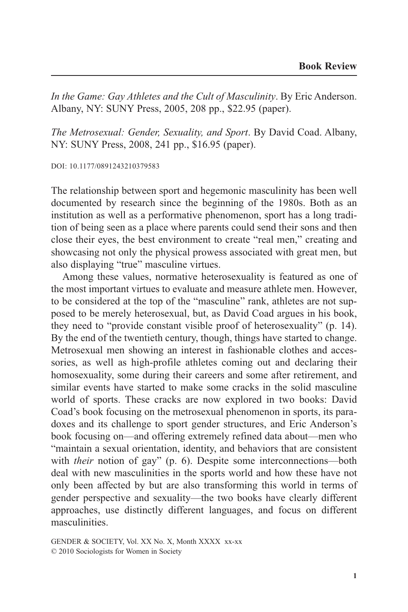*In the Game: Gay Athletes and the Cult of Masculinity*. By Eric Anderson. Albany, NY: SUNY Press, 2005, 208 pp., \$22.95 (paper).

*The Metrosexual: Gender, Sexuality, and Sport*. By David Coad. Albany, NY: SUNY Press, 2008, 241 pp., \$16.95 (paper).

DOI: 10.1177/0891243210379583

The relationship between sport and hegemonic masculinity has been well documented by research since the beginning of the 1980s. Both as an institution as well as a performative phenomenon, sport has a long tradition of being seen as a place where parents could send their sons and then close their eyes, the best environment to create "real men," creating and showcasing not only the physical prowess associated with great men, but also displaying "true" masculine virtues.

Among these values, normative heterosexuality is featured as one of the most important virtues to evaluate and measure athlete men. However, to be considered at the top of the "masculine" rank, athletes are not supposed to be merely heterosexual, but, as David Coad argues in his book, they need to "provide constant visible proof of heterosexuality" (p. 14). By the end of the twentieth century, though, things have started to change. Metrosexual men showing an interest in fashionable clothes and accessories, as well as high-profile athletes coming out and declaring their homosexuality, some during their careers and some after retirement, and similar events have started to make some cracks in the solid masculine world of sports. These cracks are now explored in two books: David Coad's book focusing on the metrosexual phenomenon in sports, its paradoxes and its challenge to sport gender structures, and Eric Anderson's book focusing on—and offering extremely refined data about—men who "maintain a sexual orientation, identity, and behaviors that are consistent with *their* notion of gay" (p. 6). Despite some interconnections—both deal with new masculinities in the sports world and how these have not only been affected by but are also transforming this world in terms of gender perspective and sexuality—the two books have clearly different approaches, use distinctly different languages, and focus on different masculinities.

GENDER & SOCIETY, Vol. XX No. X, Month XXXX xx-xx © 2010 Sociologists for Women in Society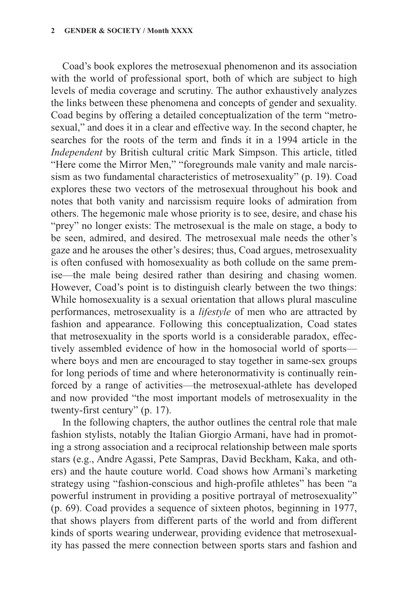## **2 GENDER & SOCIETY / Month XXXX**

Coad's book explores the metrosexual phenomenon and its association with the world of professional sport, both of which are subject to high levels of media coverage and scrutiny. The author exhaustively analyzes the links between these phenomena and concepts of gender and sexuality. Coad begins by offering a detailed conceptualization of the term "metrosexual," and does it in a clear and effective way. In the second chapter, he searches for the roots of the term and finds it in a 1994 article in the *Independent* by British cultural critic Mark Simpson. This article, titled "Here come the Mirror Men," "foregrounds male vanity and male narcissism as two fundamental characteristics of metrosexuality" (p. 19). Coad explores these two vectors of the metrosexual throughout his book and notes that both vanity and narcissism require looks of admiration from others. The hegemonic male whose priority is to see, desire, and chase his "prey" no longer exists: The metrosexual is the male on stage, a body to be seen, admired, and desired. The metrosexual male needs the other's gaze and he arouses the other's desires; thus, Coad argues, metrosexuality is often confused with homosexuality as both collude on the same premise—the male being desired rather than desiring and chasing women. However, Coad's point is to distinguish clearly between the two things: While homosexuality is a sexual orientation that allows plural masculine performances, metrosexuality is a *lifestyle* of men who are attracted by fashion and appearance. Following this conceptualization, Coad states that metrosexuality in the sports world is a considerable paradox, effectively assembled evidence of how in the homosocial world of sports where boys and men are encouraged to stay together in same-sex groups for long periods of time and where heteronormativity is continually reinforced by a range of activities—the metrosexual-athlete has developed and now provided "the most important models of metrosexuality in the twenty-first century" (p. 17).

In the following chapters, the author outlines the central role that male fashion stylists, notably the Italian Giorgio Armani, have had in promoting a strong association and a reciprocal relationship between male sports stars (e.g., Andre Agassi, Pete Sampras, David Beckham, Kaka, and others) and the haute couture world. Coad shows how Armani's marketing strategy using "fashion-conscious and high-profile athletes" has been "a powerful instrument in providing a positive portrayal of metrosexuality" (p. 69). Coad provides a sequence of sixteen photos, beginning in 1977, that shows players from different parts of the world and from different kinds of sports wearing underwear, providing evidence that metrosexuality has passed the mere connection between sports stars and fashion and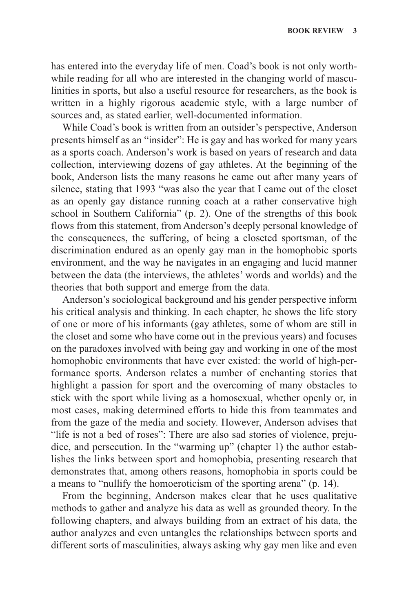has entered into the everyday life of men. Coad's book is not only worthwhile reading for all who are interested in the changing world of masculinities in sports, but also a useful resource for researchers, as the book is written in a highly rigorous academic style, with a large number of sources and, as stated earlier, well-documented information.

While Coad's book is written from an outsider's perspective, Anderson presents himself as an "insider": He is gay and has worked for many years as a sports coach. Anderson's work is based on years of research and data collection, interviewing dozens of gay athletes. At the beginning of the book, Anderson lists the many reasons he came out after many years of silence, stating that 1993 "was also the year that I came out of the closet as an openly gay distance running coach at a rather conservative high school in Southern California" (p. 2). One of the strengths of this book flows from this statement, from Anderson's deeply personal knowledge of the consequences, the suffering, of being a closeted sportsman, of the discrimination endured as an openly gay man in the homophobic sports environment, and the way he navigates in an engaging and lucid manner between the data (the interviews, the athletes' words and worlds) and the theories that both support and emerge from the data.

Anderson's sociological background and his gender perspective inform his critical analysis and thinking. In each chapter, he shows the life story of one or more of his informants (gay athletes, some of whom are still in the closet and some who have come out in the previous years) and focuses on the paradoxes involved with being gay and working in one of the most homophobic environments that have ever existed: the world of high-performance sports. Anderson relates a number of enchanting stories that highlight a passion for sport and the overcoming of many obstacles to stick with the sport while living as a homosexual, whether openly or, in most cases, making determined efforts to hide this from teammates and from the gaze of the media and society. However, Anderson advises that "life is not a bed of roses": There are also sad stories of violence, prejudice, and persecution. In the "warming up" (chapter 1) the author establishes the links between sport and homophobia, presenting research that demonstrates that, among others reasons, homophobia in sports could be a means to "nullify the homoeroticism of the sporting arena" (p. 14).

From the beginning, Anderson makes clear that he uses qualitative methods to gather and analyze his data as well as grounded theory. In the following chapters, and always building from an extract of his data, the author analyzes and even untangles the relationships between sports and different sorts of masculinities, always asking why gay men like and even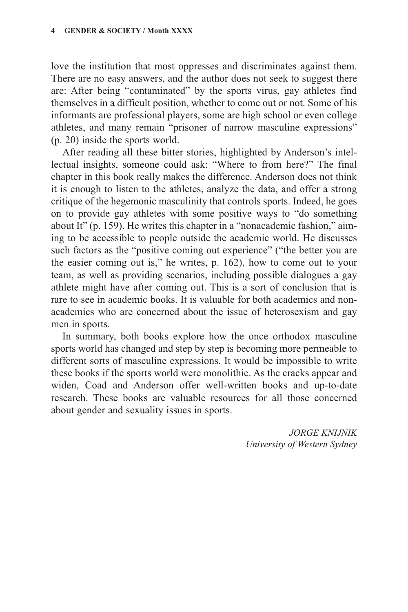love the institution that most oppresses and discriminates against them. There are no easy answers, and the author does not seek to suggest there are: After being "contaminated" by the sports virus, gay athletes find themselves in a difficult position, whether to come out or not. Some of his informants are professional players, some are high school or even college athletes, and many remain "prisoner of narrow masculine expressions" (p. 20) inside the sports world.

After reading all these bitter stories, highlighted by Anderson's intellectual insights, someone could ask: "Where to from here?" The final chapter in this book really makes the difference. Anderson does not think it is enough to listen to the athletes, analyze the data, and offer a strong critique of the hegemonic masculinity that controls sports. Indeed, he goes on to provide gay athletes with some positive ways to "do something about It" (p. 159). He writes this chapter in a "nonacademic fashion," aiming to be accessible to people outside the academic world. He discusses such factors as the "positive coming out experience" ("the better you are the easier coming out is," he writes, p. 162), how to come out to your team, as well as providing scenarios, including possible dialogues a gay athlete might have after coming out. This is a sort of conclusion that is rare to see in academic books. It is valuable for both academics and nonacademics who are concerned about the issue of heterosexism and gay men in sports.

In summary, both books explore how the once orthodox masculine sports world has changed and step by step is becoming more permeable to different sorts of masculine expressions. It would be impossible to write these books if the sports world were monolithic. As the cracks appear and widen, Coad and Anderson offer well-written books and up-to-date research. These books are valuable resources for all those concerned about gender and sexuality issues in sports.

> *JORGE KNIJNIK University of Western Sydney*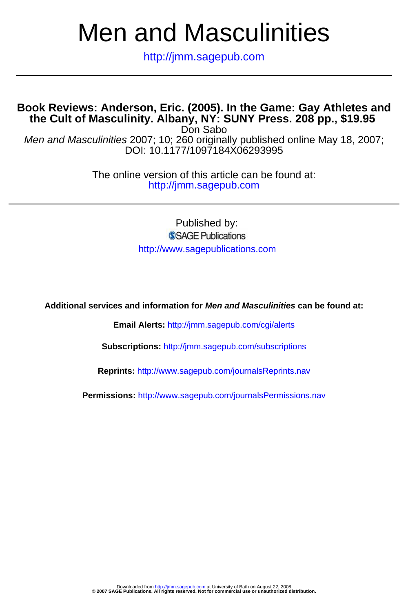## Men and Masculinities

http://jmm.sagepub.com

## **the Cult of Masculinity. Albany, NY: SUNY Press. 208 pp., \$19.95 Book Reviews: Anderson, Eric. (2005). In the Game: Gay Athletes and**

Don Sabo

DOI: 10.1177/1097184X06293995 Men and Masculinities 2007; 10; 260 originally published online May 18, 2007;

> http://jmm.sagepub.com The online version of this article can be found at:

> > Published by: SSAGE Publications http://www.sagepublications.com

**Additional services and information for Men and Masculinities can be found at:**

**Email Alerts:** <http://jmm.sagepub.com/cgi/alerts>

**Subscriptions:** <http://jmm.sagepub.com/subscriptions>

**Reprints:** <http://www.sagepub.com/journalsReprints.nav>

**Permissions:** <http://www.sagepub.com/journalsPermissions.nav>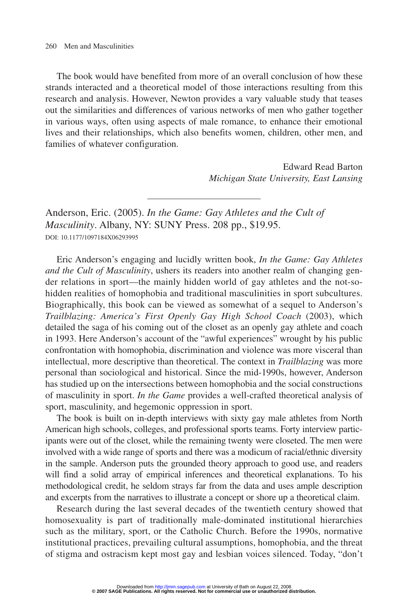The book would have benefited from more of an overall conclusion of how these strands interacted and a theoretical model of those interactions resulting from this research and analysis. However, Newton provides a vary valuable study that teases out the similarities and differences of various networks of men who gather together in various ways, often using aspects of male romance, to enhance their emotional lives and their relationships, which also benefits women, children, other men, and families of whatever configuration.

> Edward Read Barton *Michigan State University, East Lansing*

Anderson, Eric. (2005). *In the Game: Gay Athletes and the Cult of Masculinity*. Albany, NY: SUNY Press. 208 pp., \$19.95. DOI: 10.1177/1097184X06293995

Eric Anderson's engaging and lucidly written book, *In the Game: Gay Athletes and the Cult of Masculinity*, ushers its readers into another realm of changing gender relations in sport—the mainly hidden world of gay athletes and the not-sohidden realities of homophobia and traditional masculinities in sport subcultures. Biographically, this book can be viewed as somewhat of a sequel to Anderson's *Trailblazing: America's First Openly Gay High School Coach* (2003), which detailed the saga of his coming out of the closet as an openly gay athlete and coach in 1993. Here Anderson's account of the "awful experiences" wrought by his public confrontation with homophobia, discrimination and violence was more visceral than intellectual, more descriptive than theoretical. The context in *Trailblazing* was more personal than sociological and historical. Since the mid-1990s, however, Anderson has studied up on the intersections between homophobia and the social constructions of masculinity in sport. *In the Game* provides a well-crafted theoretical analysis of sport, masculinity, and hegemonic oppression in sport.

The book is built on in-depth interviews with sixty gay male athletes from North American high schools, colleges, and professional sports teams. Forty interview participants were out of the closet, while the remaining twenty were closeted. The men were involved with a wide range of sports and there was a modicum of racial/ethnic diversity in the sample. Anderson puts the grounded theory approach to good use, and readers will find a solid array of empirical inferences and theoretical explanations. To his methodological credit, he seldom strays far from the data and uses ample description and excerpts from the narratives to illustrate a concept or shore up a theoretical claim.

Research during the last several decades of the twentieth century showed that homosexuality is part of traditionally male-dominated institutional hierarchies such as the military, sport, or the Catholic Church. Before the 1990s, normative institutional practices, prevailing cultural assumptions, homophobia, and the threat of stigma and ostracism kept most gay and lesbian voices silenced. Today, "don't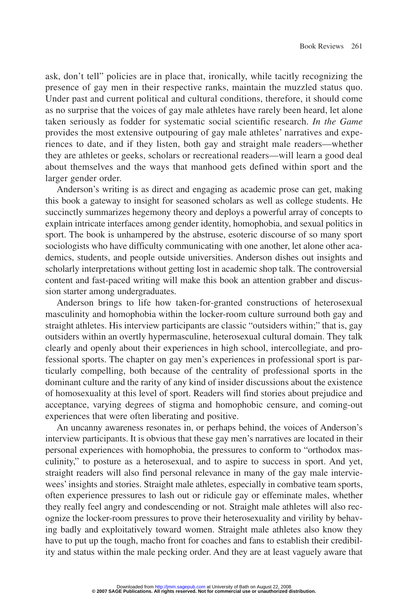ask, don't tell" policies are in place that, ironically, while tacitly recognizing the presence of gay men in their respective ranks, maintain the muzzled status quo. Under past and current political and cultural conditions, therefore, it should come as no surprise that the voices of gay male athletes have rarely been heard, let alone taken seriously as fodder for systematic social scientific research. *In the Game* provides the most extensive outpouring of gay male athletes' narratives and experiences to date, and if they listen, both gay and straight male readers—whether they are athletes or geeks, scholars or recreational readers—will learn a good deal about themselves and the ways that manhood gets defined within sport and the larger gender order.

Anderson's writing is as direct and engaging as academic prose can get, making this book a gateway to insight for seasoned scholars as well as college students. He succinctly summarizes hegemony theory and deploys a powerful array of concepts to explain intricate interfaces among gender identity, homophobia, and sexual politics in sport. The book is unhampered by the abstruse, esoteric discourse of so many sport sociologists who have difficulty communicating with one another, let alone other academics, students, and people outside universities. Anderson dishes out insights and scholarly interpretations without getting lost in academic shop talk. The controversial content and fast-paced writing will make this book an attention grabber and discussion starter among undergraduates.

Anderson brings to life how taken-for-granted constructions of heterosexual masculinity and homophobia within the locker-room culture surround both gay and straight athletes. His interview participants are classic "outsiders within;" that is, gay outsiders within an overtly hypermasculine, heterosexual cultural domain. They talk clearly and openly about their experiences in high school, intercollegiate, and professional sports. The chapter on gay men's experiences in professional sport is particularly compelling, both because of the centrality of professional sports in the dominant culture and the rarity of any kind of insider discussions about the existence of homosexuality at this level of sport. Readers will find stories about prejudice and acceptance, varying degrees of stigma and homophobic censure, and coming-out experiences that were often liberating and positive.

An uncanny awareness resonates in, or perhaps behind, the voices of Anderson's interview participants. It is obvious that these gay men's narratives are located in their personal experiences with homophobia, the pressures to conform to "orthodox masculinity," to posture as a heterosexual, and to aspire to success in sport. And yet, straight readers will also find personal relevance in many of the gay male interviewees' insights and stories. Straight male athletes, especially in combative team sports, often experience pressures to lash out or ridicule gay or effeminate males, whether they really feel angry and condescending or not. Straight male athletes will also recognize the locker-room pressures to prove their heterosexuality and virility by behaving badly and exploitatively toward women. Straight male athletes also know they have to put up the tough, macho front for coaches and fans to establish their credibility and status within the male pecking order. And they are at least vaguely aware that